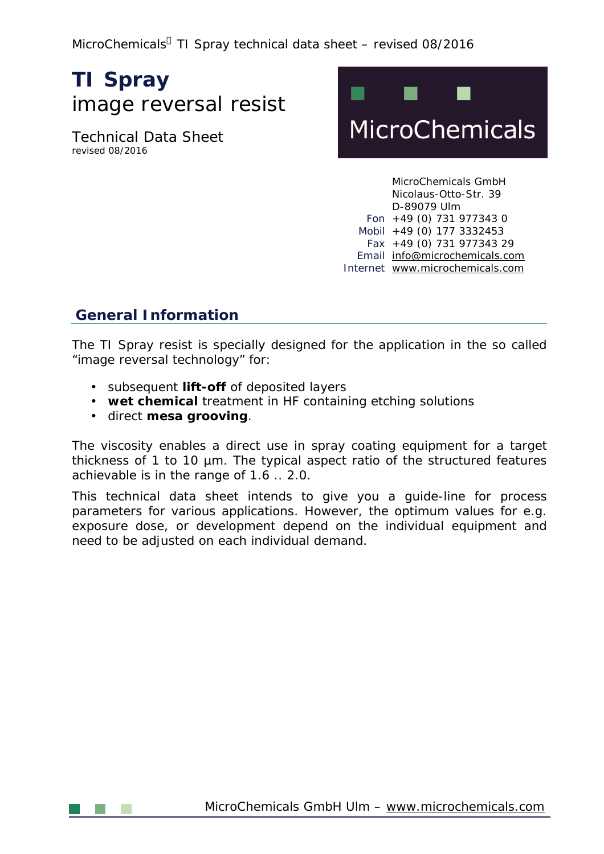MicroChemicals<sup>a</sup> TI Spray technical data sheet - revised 08/2016

# **TI Spray**  image reversal resist

Technical Data Sheet revised 08/2016



MicroChemicals GmbH Nicolaus-Otto-Str. 39 D-89079 Ulm Fon +49 (0) 731 977343 0 Mobil +49 (0) 177 3332453 Fax +49 (0) 731 977343 29 Email [info@microchemicals.com](mailto:info@microchemicals.com) Internet [www.microchemicals.com](http://www.microchemicals.com)

## **General Information**

The TI Spray resist is specially designed for the application in the so called "image reversal technology" for:

- subsequent **lift-off** of deposited layers
- **wet chemical** treatment in HF containing etching solutions
- direct **mesa grooving**.

The viscosity enables a direct use in spray coating equipment for a target thickness of 1 to 10 µm. The typical aspect ratio of the structured features achievable is in the range of 1.6 .. 2.0.

This technical data sheet intends to give you a guide-line for process parameters for various applications. However, the optimum values for e.g. exposure dose, or development depend on the individual equipment and need to be adjusted on each individual demand.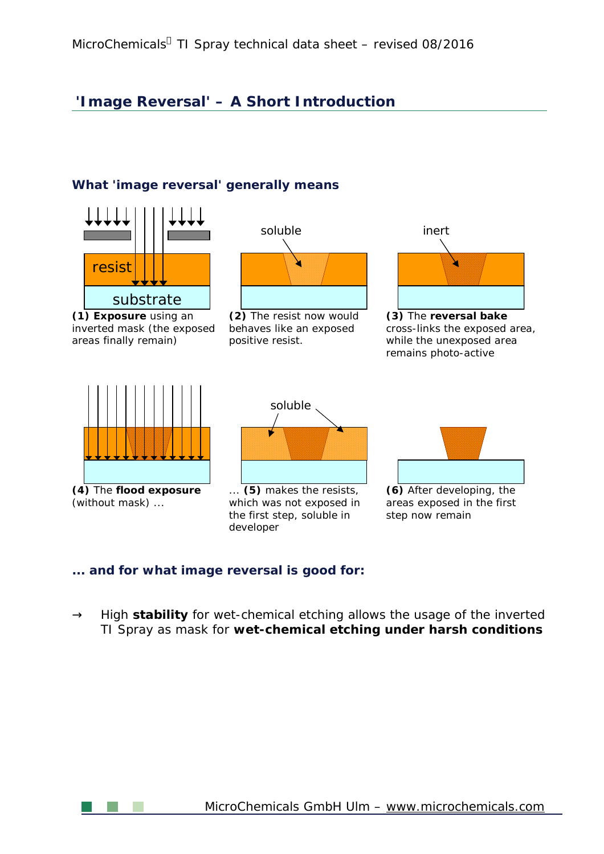## **'Image Reversal' – A Short Introduction**

#### **What 'image reversal' generally means**



#### **... and for what image reversal is good for:**

 $\circledR$ High **stability** for wet-chemical etching allows the usage of the inverted TI Spray as mask for **wet-chemical etching under harsh conditions**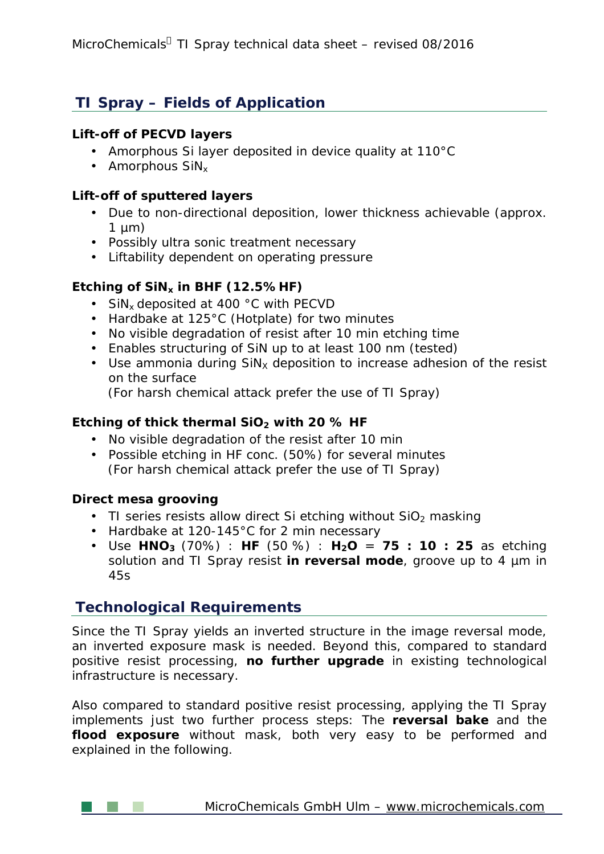## **TI Spray – Fields of Application**

#### **Lift-off of PECVD layers**

- Amorphous Si layer deposited in device quality at 110°C
- $\cdot$  Amorphous SiN<sub>x</sub>

#### **Lift-off of sputtered layers**

- Due to non-directional deposition, lower thickness achievable (approx.  $\mathbf{r}$  $1 \mu m$ )
- Possibly ultra sonic treatment necessary
- Liftability dependent on operating pressure

#### **Etching of SiNx in BHF (12.5%HF)**

- $\cdot$  SiN<sub>x</sub> deposited at 400 °C with PECVD
- Hardbake at 125°C (Hotplate) for two minutes
- No visible degradation of resist after 10 min etching time
- Enables structuring of SiN up to at least 100 nm (tested)
- Use ammonia during  $\sin x$  deposition to increase adhesion of the resist on the surface
	- (For harsh chemical attack prefer the use of TI Spray)

#### **Etching of thick thermal SiO<sup>2</sup> with 20 % HF**

- No visible degradation of the resist after 10 min
- Possible etching in HF conc. (50%) for several minutes  $\mathcal{L}^{(1)}$ (For harsh chemical attack prefer the use of TI Spray)

#### **Direct mesa grooving**

- $\cdot$  TI series resists allow direct Si etching without SiO<sub>2</sub> masking
- Hardbake at 120-145°C for 2 min necessary
- Use **HNO<sup>3</sup>** (70%) : **HF** (50 %) : **H2O** = **75 : 10 : 25** as etching solution and TI Spray resist **in reversal mode**, groove up to 4 µm in 45s

### **Technological Requirements**

Since the TI Spray yields an inverted structure in the image reversal mode, an inverted exposure mask is needed. Beyond this, compared to standard positive resist processing, **no further upgrade** in existing technological infrastructure is necessary.

Also compared to standard positive resist processing, applying the TI Spray implements just two further process steps: The **reversal bake** and the **flood exposure** without mask, both very easy to be performed and explained in the following.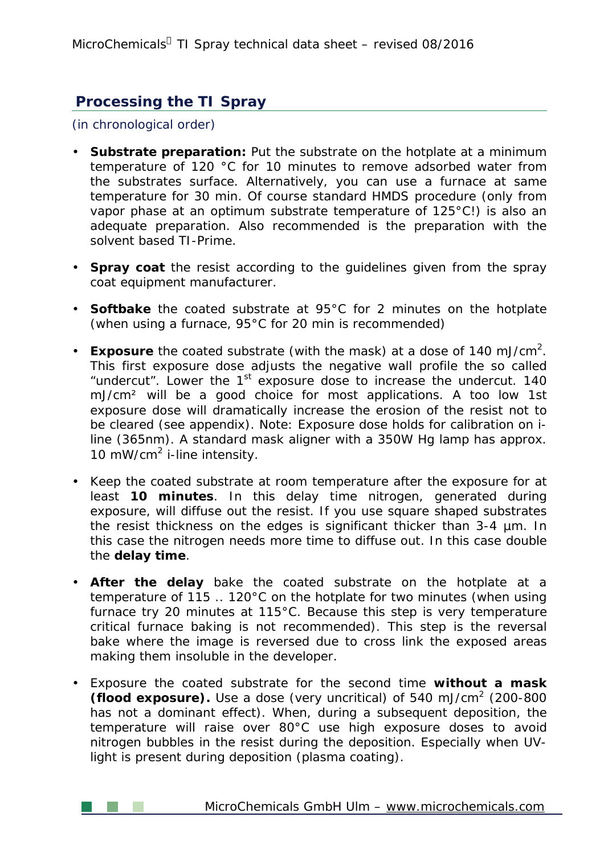## **Processing the TI Spray**

(in chronological order)

- **Substrate preparation:** Put the substrate on the hotplate at a minimum temperature of 120 °C for 10 minutes to remove adsorbed water from the substrates surface. Alternatively, you can use a furnace at same temperature for 30 min. Of course standard HMDS procedure (only from vapor phase at an optimum substrate temperature of 125°C!) is also an adequate preparation. Also recommended is the preparation with the solvent based TI-Prime.
- **Spray coat** the resist according to the guidelines given from the spray coat equipment manufacturer.
- **Softbake** the coated substrate at 95°C for 2 minutes on the hotplate (when using a furnace, 95°C for 20 min is recommended)
- Exposure the coated substrate (with the mask) at a dose of 140 mJ/cm<sup>2</sup>. This first exposure dose adjusts the negative wall profile the so called "undercut". Lower the  $1<sup>st</sup>$  exposure dose to increase the undercut. 140 mJ/cm² will be a good choice for most applications. A too low 1st exposure dose will dramatically increase the erosion of the resist not to be cleared (see appendix). Note: Exposure dose holds for calibration on iline (365nm). A standard mask aligner with a 350W Hg lamp has approx. 10 mW/cm<sup>2</sup> i-line intensity.
- Keep the coated substrate at room temperature after the exposure for at least **10 minutes**. In this delay time nitrogen, generated during exposure, will diffuse out the resist. If you use square shaped substrates the resist thickness on the edges is significant thicker than 3-4 µm. In this case the nitrogen needs more time to diffuse out. In this case double the **delay time**.
- **After the delay** bake the coated substrate on the hotplate at a temperature of 115 .. 120°C on the hotplate for two minutes (when using furnace try 20 minutes at 115°C. Because this step is very temperature critical furnace baking is not recommended). This step is the *reversal bake* where the image is reversed due to cross link the exposed areas making them insoluble in the developer.
- Exposure the coated substrate for the second time **without a mask (flood exposure).** Use a dose (very uncritical) of 540 mJ/cm<sup>2</sup> (200-800 has not a dominant effect). When, during a subsequent deposition, the temperature will raise over 80°C use high exposure doses to avoid nitrogen bubbles in the resist during the deposition. Especially when UVlight is present during deposition (plasma coating).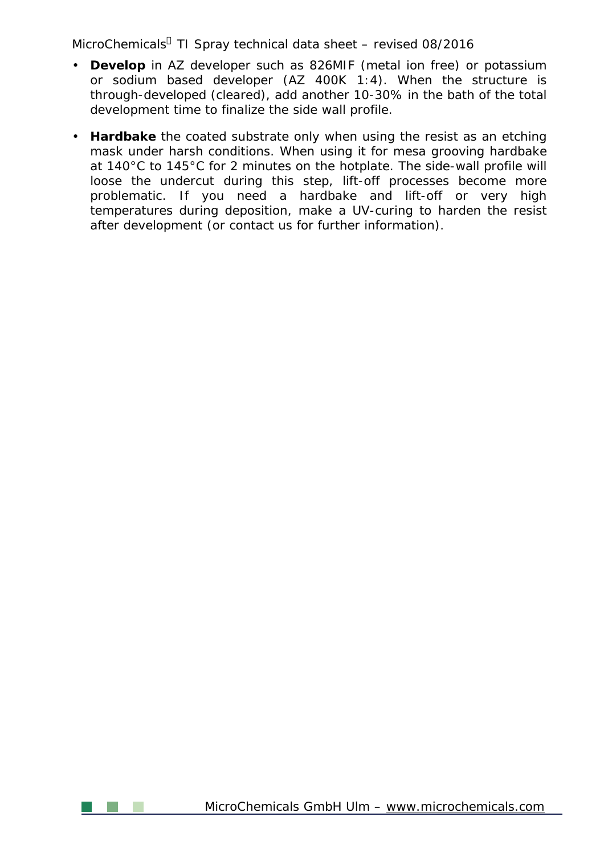MicroChemicals<sup>a</sup> TI Spray technical data sheet – revised 08/2016

- **Develop** in AZ developer such as 826MIF (metal ion free) or potassium or sodium based developer (AZ 400K 1:4). When the structure is through-developed (cleared), add another 10-30% in the bath of the total development time to finalize the side wall profile.
- **Hardbake** the coated substrate only when using the resist as an etching mask under harsh conditions. When using it for mesa grooving hardbake at 140°C to 145°C for 2 minutes on the hotplate. The side-wall profile will loose the undercut during this step, lift-off processes become more problematic. If you need a hardbake and lift-off or very high temperatures during deposition, make a UV-curing to harden the resist after development (or contact us for further information).